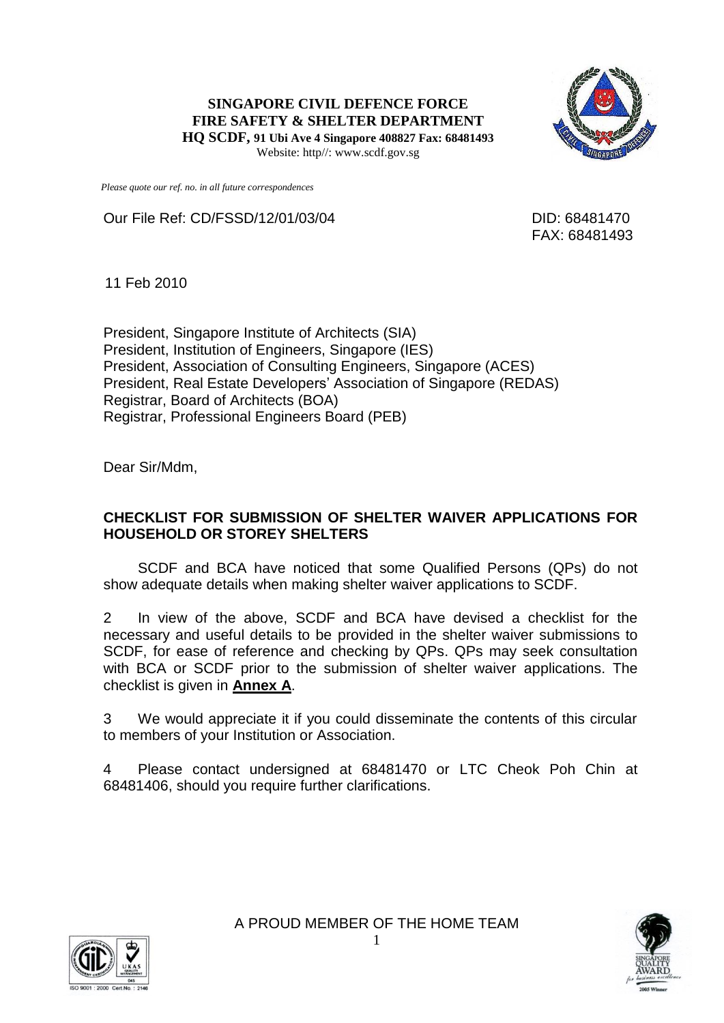**SINGAPORE CIVIL DEFENCE FORCE FIRE SAFETY & SHELTER DEPARTMENT HQ SCDF, 91 Ubi Ave 4 Singapore 408827 Fax: 68481493** Website: http//: www.scdf.gov.sg



*Please quote our ref. no. in all future correspondences*

Our File Ref: CD/FSSD/12/01/03/04 DID: 68481470

FAX: 68481493

11 Feb 2010

President, Singapore Institute of Architects (SIA) President, Institution of Engineers, Singapore (IES) President, Association of Consulting Engineers, Singapore (ACES) President, Real Estate Developers' Association of Singapore (REDAS) Registrar, Board of Architects (BOA) Registrar, Professional Engineers Board (PEB)

Dear Sir/Mdm,

### **CHECKLIST FOR SUBMISSION OF SHELTER WAIVER APPLICATIONS FOR HOUSEHOLD OR STOREY SHELTERS**

SCDF and BCA have noticed that some Qualified Persons (QPs) do not show adequate details when making shelter waiver applications to SCDF.

2 In view of the above, SCDF and BCA have devised a checklist for the necessary and useful details to be provided in the shelter waiver submissions to SCDF, for ease of reference and checking by QPs. QPs may seek consultation with BCA or SCDF prior to the submission of shelter waiver applications. The checklist is given in **Annex A**.

3 We would appreciate it if you could disseminate the contents of this circular to members of your Institution or Association.

4 Please contact undersigned at 68481470 or LTC Cheok Poh Chin at 68481406, should you require further clarifications.



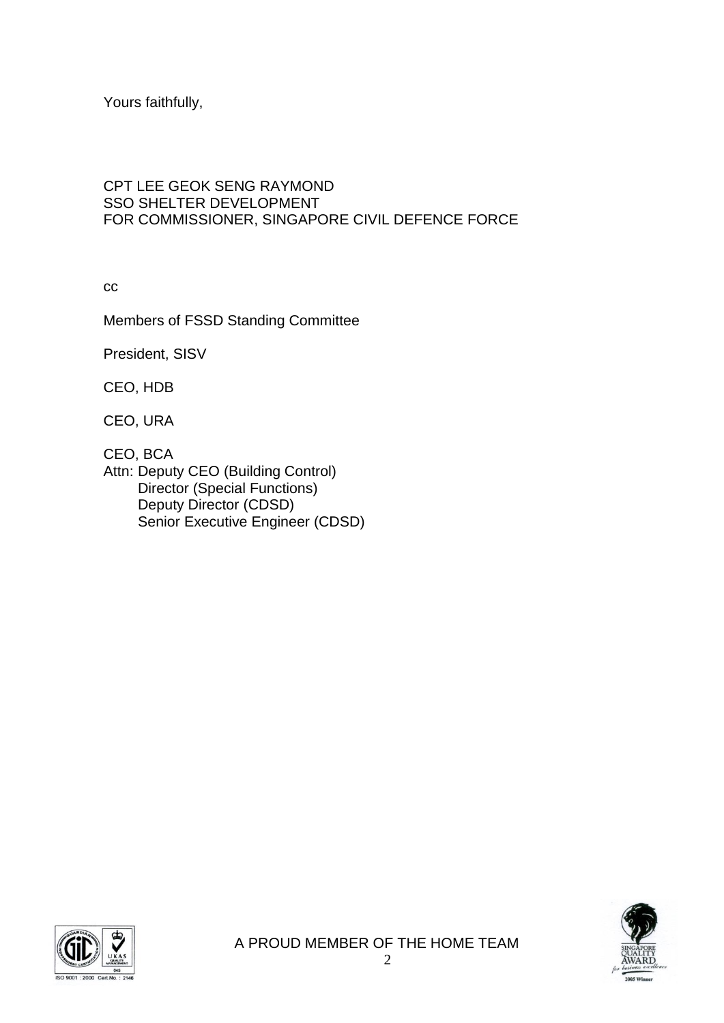Yours faithfully,

## CPT LEE GEOK SENG RAYMOND SSO SHELTER DEVELOPMENT FOR COMMISSIONER, SINGAPORE CIVIL DEFENCE FORCE

cc

Members of FSSD Standing Committee

President, SISV

CEO, HDB

CEO, URA

CEO, BCA

Attn: Deputy CEO (Building Control) Director (Special Functions) Deputy Director (CDSD) Senior Executive Engineer (CDSD)



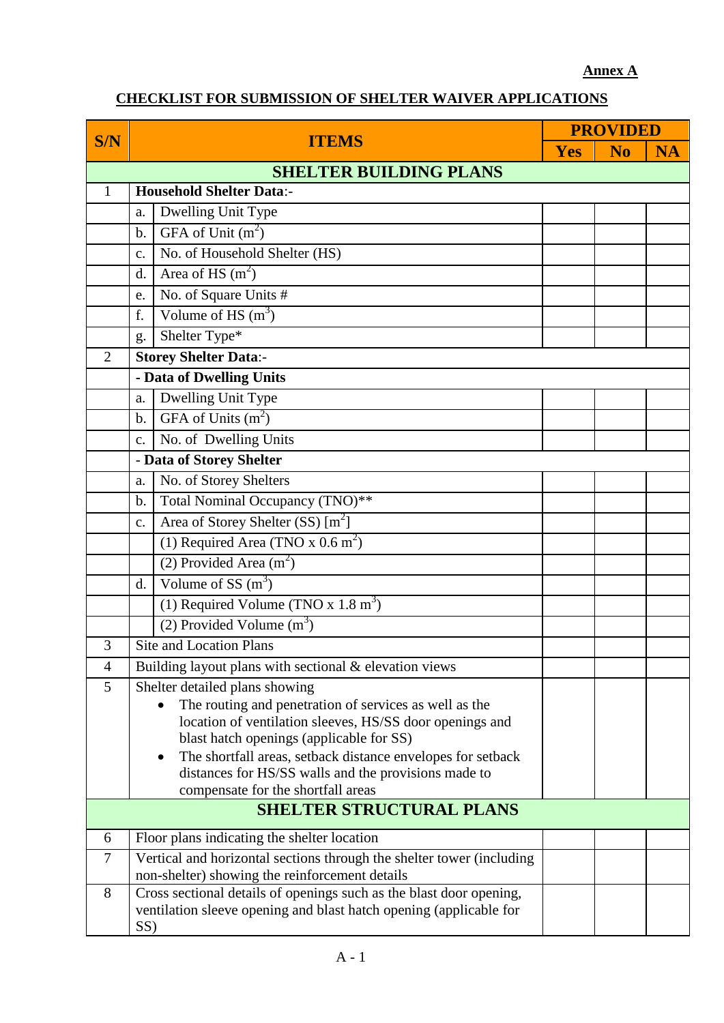## **Annex A**

# **CHECKLIST FOR SUBMISSION OF SHELTER WAIVER APPLICATIONS**

|                               |                                                                                                         |                                                                    |     | <b>PROVIDED</b> |           |  |  |  |
|-------------------------------|---------------------------------------------------------------------------------------------------------|--------------------------------------------------------------------|-----|-----------------|-----------|--|--|--|
| S/N                           | <b>ITEMS</b>                                                                                            |                                                                    | Yes | N <sub>0</sub>  | <b>NA</b> |  |  |  |
| <b>SHELTER BUILDING PLANS</b> |                                                                                                         |                                                                    |     |                 |           |  |  |  |
| $\mathbf{1}$                  | <b>Household Shelter Data:-</b>                                                                         |                                                                    |     |                 |           |  |  |  |
|                               | Dwelling Unit Type<br>a.                                                                                |                                                                    |     |                 |           |  |  |  |
|                               | GFA of Unit $(m2)$<br>b.                                                                                |                                                                    |     |                 |           |  |  |  |
|                               | c.                                                                                                      | No. of Household Shelter (HS)                                      |     |                 |           |  |  |  |
|                               | Area of HS $(m2)$<br>d.                                                                                 |                                                                    |     |                 |           |  |  |  |
|                               | No. of Square Units #<br>e.                                                                             |                                                                    |     |                 |           |  |  |  |
|                               | Volume of HS $(m^3)$<br>f.                                                                              |                                                                    |     |                 |           |  |  |  |
|                               | Shelter Type*<br>g.                                                                                     |                                                                    |     |                 |           |  |  |  |
| $\overline{2}$                |                                                                                                         | <b>Storey Shelter Data:-</b>                                       |     |                 |           |  |  |  |
|                               | - Data of Dwelling Units                                                                                |                                                                    |     |                 |           |  |  |  |
|                               | Dwelling Unit Type<br>a.                                                                                |                                                                    |     |                 |           |  |  |  |
|                               | GFA of Units $(m2)$<br>$\mathbf{b}$ .                                                                   |                                                                    |     |                 |           |  |  |  |
|                               | No. of Dwelling Units<br>$C_{\bullet}$                                                                  |                                                                    |     |                 |           |  |  |  |
|                               | - Data of Storey Shelter                                                                                |                                                                    |     |                 |           |  |  |  |
|                               | No. of Storey Shelters<br>a.                                                                            |                                                                    |     |                 |           |  |  |  |
|                               | b.                                                                                                      | Total Nominal Occupancy (TNO)**                                    |     |                 |           |  |  |  |
|                               | $\mathbf{c}$ .                                                                                          | Area of Storey Shelter (SS) [m <sup>2</sup> ]                      |     |                 |           |  |  |  |
|                               |                                                                                                         | (1) Required Area (TNO $\overline{x}$ 0.6 m <sup>2</sup> )         |     |                 |           |  |  |  |
|                               | (2) Provided Area $(m^2)$                                                                               |                                                                    |     |                 |           |  |  |  |
|                               | Volume of SS $(m3)$<br>d.                                                                               |                                                                    |     |                 |           |  |  |  |
|                               |                                                                                                         | (1) Required Volume (TNO x $1.8 \text{ m}^3$ )                     |     |                 |           |  |  |  |
|                               |                                                                                                         | (2) Provided $\overline{\text{Volume (m}^3)}$                      |     |                 |           |  |  |  |
| 3                             |                                                                                                         | <b>Site and Location Plans</b>                                     |     |                 |           |  |  |  |
| $\overline{4}$                |                                                                                                         | Building layout plans with sectional $&$ elevation views           |     |                 |           |  |  |  |
| 5                             | Shelter detailed plans showing                                                                          |                                                                    |     |                 |           |  |  |  |
|                               | The routing and penetration of services as well as the                                                  |                                                                    |     |                 |           |  |  |  |
|                               | location of ventilation sleeves, HS/SS door openings and                                                |                                                                    |     |                 |           |  |  |  |
|                               | blast hatch openings (applicable for SS)<br>The shortfall areas, setback distance envelopes for setback |                                                                    |     |                 |           |  |  |  |
|                               | distances for HS/SS walls and the provisions made to                                                    |                                                                    |     |                 |           |  |  |  |
|                               |                                                                                                         | compensate for the shortfall areas                                 |     |                 |           |  |  |  |
|                               |                                                                                                         | <b>SHELTER STRUCTURAL PLANS</b>                                    |     |                 |           |  |  |  |
| 6                             |                                                                                                         | Floor plans indicating the shelter location                        |     |                 |           |  |  |  |
| $\overline{7}$                | Vertical and horizontal sections through the shelter tower (including                                   |                                                                    |     |                 |           |  |  |  |
|                               |                                                                                                         | non-shelter) showing the reinforcement details                     |     |                 |           |  |  |  |
| 8                             | Cross sectional details of openings such as the blast door opening,                                     |                                                                    |     |                 |           |  |  |  |
|                               | SS)                                                                                                     | ventilation sleeve opening and blast hatch opening (applicable for |     |                 |           |  |  |  |